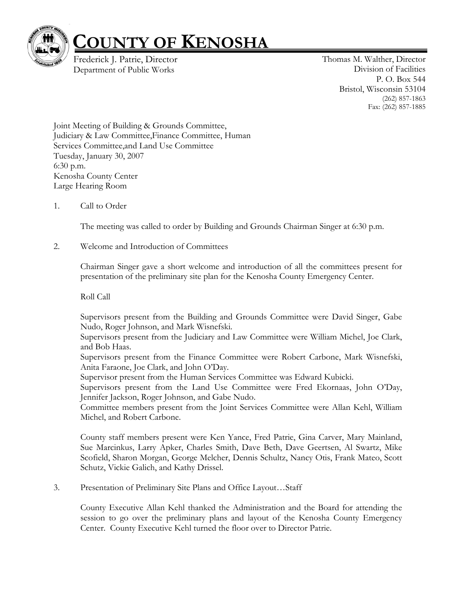

## **COUNTY OF KENOSHA**

<span id="page-0-4"></span><span id="page-0-0"></span>[Frederick J. Patrie, Director](#page-0-0) Department of Public Works

<span id="page-0-3"></span><span id="page-0-2"></span><span id="page-0-1"></span>Thomas M. Walther, Director Divisi[on of Facilities](#page-0-1) [P. O. Box 544](#page-0-2) Bristol, Wisc[onsin 53104](#page-0-3) (262) 857-1863 Fax: (262) 857-1885

Joint Meeting of Building & Grounds Committee, Judiciary & Law Committee,Finance Committee, Human Services Committee,and Land Use Committee Tuesday, January 30, 2007 6:30 p.m. Kenosha County Center Large Hearing Room

## 1. Call to Order

The meeting was called to order by Building and Grounds Chairman Singer at 6:30 p.m.

## 2. Welcome and Introduction of Committees

Chairman Singer gave a short welcome and introduction of all the committees present for presentation of the preliminary site plan for the Kenosha County Emergency Center.

Roll Call

Supervisors present from the Building and Grounds Committee were David Singer, Gabe Nudo, Roger Johnson, and Mark Wisnefski.

Supervisors present from the Judiciary and Law Committee were William Michel, Joe Clark, and Bob Haas.

Supervisors present from the Finance Committee were Robert Carbone, Mark Wisnefski, Anita Faraone, Joe Clark, and John O'Day.

Supervisor present from the Human Services Committee was Edward Kubicki.

Supervisors present from the Land Use Committee were Fred Ekornaas, John O'Day, Jennifer Jackson, Roger Johnson, and Gabe Nudo.

Committee members present from the Joint Services Committee were Allan Kehl, William Michel, and Robert Carbone.

County staff members present were Ken Yance, Fred Patrie, Gina Carver, Mary Mainland, Sue Marcinkus, Larry Apker, Charles Smith, Dave Beth, Dave Geertsen, Al Swartz, Mike Scofield, Sharon Morgan, George Melcher, Dennis Schultz, Nancy Otis, Frank Mateo, Scott Schutz, Vickie Galich, and Kathy Drissel.

3. Presentation of Preliminary Site Plans and Office Layout…Staff

County Executive Allan Kehl thanked the Administration and the Board for attending the session to go over the preliminary plans and layout of the Kenosha County Emergency Center. County Executive Kehl turned the floor over to Director Patrie.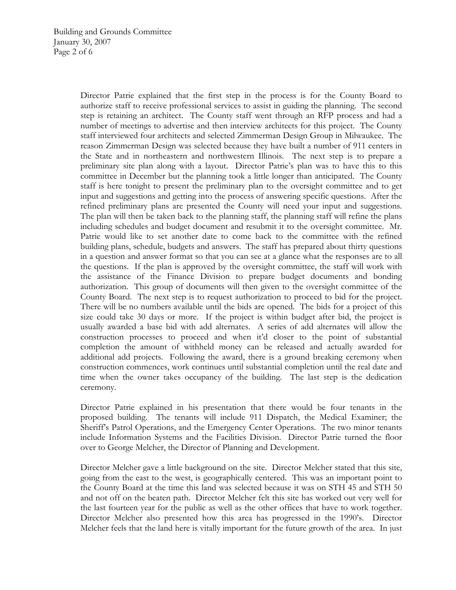Director Patrie explained that the first step in the process is for the County Board to authorize staff to receive professional services to assist in guiding the planning. The second step is retaining an architect. The County staff went through an RFP process and had a number of meetings to advertise and then interview architects for this project. The County staff interviewed four architects and selected Zimmerman Design Group in Milwaukee. The reason Zimmerman Design was selected because they have built a number of 911 centers in the State and in northeastern and northwestern Illinois. The next step is to prepare a preliminary site plan along with a layout. Director Patrie's plan was to have this to this committee in December but the planning took a little longer than anticipated. The County staff is here tonight to present the preliminary plan to the oversight committee and to get input and suggestions and getting into the process of answering specific questions. After the refined preliminary plans are presented the County will need your input and suggestions. The plan will then be taken back to the planning staff, the planning staff will refine the plans including schedules and budget document and resubmit it to the oversight committee. Mr. Patrie would like to set another date to come back to the committee with the refined building plans, schedule, budgets and answers. The staff has prepared about thirty questions in a question and answer format so that you can see at a glance what the responses are to all the questions. If the plan is approved by the oversight committee, the staff will work with the assistance of the Finance Division to prepare budget documents and bonding authorization. This group of documents will then given to the oversight committee of the County Board. The next step is to request authorization to proceed to bid for the project. There will be no numbers available until the bids are opened. The bids for a project of this size could take 30 days or more. If the project is within budget after bid, the project is usually awarded a base bid with add alternates. A series of add alternates will allow the construction processes to proceed and when it'd closer to the point of substantial completion the amount of withheld money can be released and actually awarded for additional add projects. Following the award, there is a ground breaking ceremony when construction commences, work continues until substantial completion until the real date and time when the owner takes occupancy of the building. The last step is the dedication ceremony.

Director Patrie explained in his presentation that there would be four tenants in the proposed building. The tenants will include 911 Dispatch, the Medical Examiner; the Sheriff's Patrol Operations, and the Emergency Center Operations. The two minor tenants include Information Systems and the Facilities Division. Director Patrie turned the floor over to George Melcher, the Director of Planning and Development.

Director Melcher gave a little background on the site. Director Melcher stated that this site, going from the east to the west, is geographically centered. This was an important point to the County Board at the time this land was selected because it was on STH 45 and STH 50 and not off on the beaten path. Director Melcher felt this site has worked out very well for the last fourteen year for the public as well as the other offices that have to work together. Director Melcher also presented how this area has progressed in the 1990's. Director Melcher feels that the land here is vitally important for the future growth of the area. In just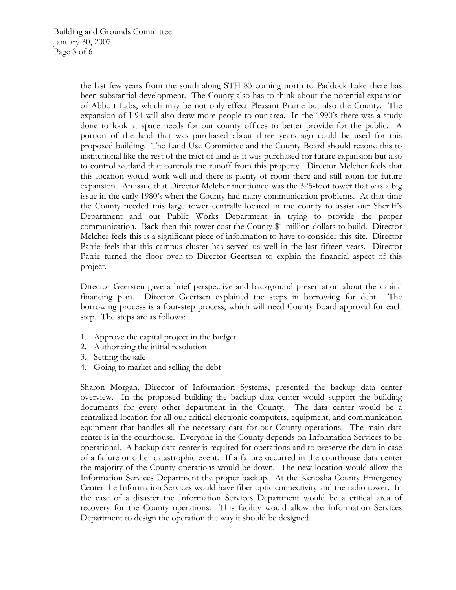the last few years from the south along STH 83 coming north to Paddock Lake there has been substantial development. The County also has to think about the potential expansion of Abbott Labs, which may be not only effect Pleasant Prairie but also the County. The expansion of I-94 will also draw more people to our area. In the 1990's there was a study done to look at space needs for our county offices to better provide for the public. A portion of the land that was purchased about three years ago could be used for this proposed building. The Land Use Committee and the County Board should rezone this to institutional like the rest of the tract of land as it was purchased for future expansion but also to control wetland that controls the runoff from this property. Director Melcher feels that this location would work well and there is plenty of room there and still room for future expansion. An issue that Director Melcher mentioned was the 325-foot tower that was a big issue in the early 1980's when the County had many communication problems. At that time the County needed this large tower centrally located in the county to assist our Sheriff's Department and our Public Works Department in trying to provide the proper communication. Back then this tower cost the County \$1 million dollars to build. Director Melcher feels this is a significant piece of information to have to consider this site. Director Patrie feels that this campus cluster has served us well in the last fifteen years. Director Patrie turned the floor over to Director Geertsen to explain the financial aspect of this project.

Director Geersten gave a brief perspective and background presentation about the capital financing plan. Director Geertsen explained the steps in borrowing for debt. The borrowing process is a four-step process, which will need County Board approval for each step. The steps are as follows:

- 1. Approve the capital project in the budget.
- 2. Authorizing the initial resolution
- 3. Setting the sale
- 4. Going to market and selling the debt

Sharon Morgan, Director of Information Systems, presented the backup data center overview. In the proposed building the backup data center would support the building documents for every other department in the County. The data center would be a centralized location for all our critical electronic computers, equipment, and communication equipment that handles all the necessary data for our County operations. The main data center is in the courthouse. Everyone in the County depends on Information Services to be operational. A backup data center is required for operations and to preserve the data in case of a failure or other catastrophic event. If a failure occurred in the courthouse data center the majority of the County operations would be down. The new location would allow the Information Services Department the proper backup. At the Kenosha County Emergency Center the Information Services would have fiber optic connectivity and the radio tower. In the case of a disaster the Information Services Department would be a critical area of recovery for the County operations. This facility would allow the Information Services Department to design the operation the way it should be designed.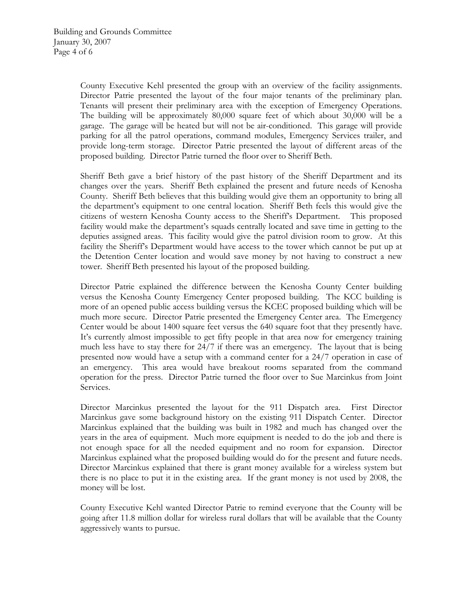County Executive Kehl presented the group with an overview of the facility assignments. Director Patrie presented the layout of the four major tenants of the preliminary plan. Tenants will present their preliminary area with the exception of Emergency Operations. The building will be approximately 80,000 square feet of which about 30,000 will be a garage. The garage will be heated but will not be air-conditioned. This garage will provide parking for all the patrol operations, command modules, Emergency Services trailer, and provide long-term storage. Director Patrie presented the layout of different areas of the proposed building. Director Patrie turned the floor over to Sheriff Beth.

Sheriff Beth gave a brief history of the past history of the Sheriff Department and its changes over the years. Sheriff Beth explained the present and future needs of Kenosha County. Sheriff Beth believes that this building would give them an opportunity to bring all the department's equipment to one central location. Sheriff Beth feels this would give the citizens of western Kenosha County access to the Sheriff's Department. This proposed facility would make the department's squads centrally located and save time in getting to the deputies assigned areas. This facility would give the patrol division room to grow. At this facility the Sheriff's Department would have access to the tower which cannot be put up at the Detention Center location and would save money by not having to construct a new tower. Sheriff Beth presented his layout of the proposed building.

Director Patrie explained the difference between the Kenosha County Center building versus the Kenosha County Emergency Center proposed building. The KCC building is more of an opened public access building versus the KCEC proposed building which will be much more secure. Director Patrie presented the Emergency Center area. The Emergency Center would be about 1400 square feet versus the 640 square foot that they presently have. It's currently almost impossible to get fifty people in that area now for emergency training much less have to stay there for 24/7 if there was an emergency. The layout that is being presented now would have a setup with a command center for a 24/7 operation in case of an emergency. This area would have breakout rooms separated from the command operation for the press. Director Patrie turned the floor over to Sue Marcinkus from Joint Services.

Director Marcinkus presented the layout for the 911 Dispatch area. First Director Marcinkus gave some background history on the existing 911 Dispatch Center. Director Marcinkus explained that the building was built in 1982 and much has changed over the years in the area of equipment. Much more equipment is needed to do the job and there is not enough space for all the needed equipment and no room for expansion. Director Marcinkus explained what the proposed building would do for the present and future needs. Director Marcinkus explained that there is grant money available for a wireless system but there is no place to put it in the existing area. If the grant money is not used by 2008, the money will be lost.

County Executive Kehl wanted Director Patrie to remind everyone that the County will be going after 11.8 million dollar for wireless rural dollars that will be available that the County aggressively wants to pursue.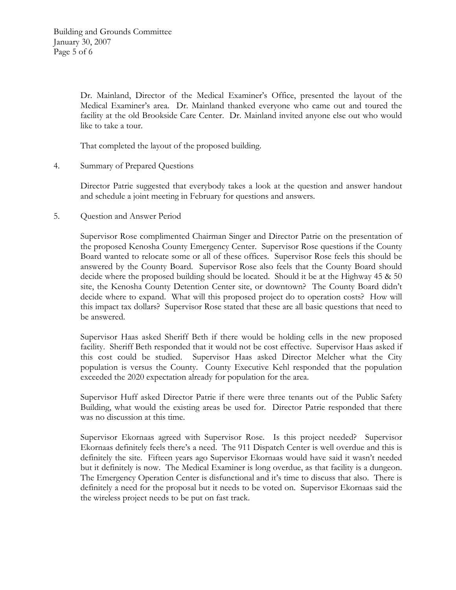Dr. Mainland, Director of the Medical Examiner's Office, presented the layout of the Medical Examiner's area. Dr. Mainland thanked everyone who came out and toured the facility at the old Brookside Care Center. Dr. Mainland invited anyone else out who would like to take a tour.

That completed the layout of the proposed building.

4. Summary of Prepared Questions

Director Patrie suggested that everybody takes a look at the question and answer handout and schedule a joint meeting in February for questions and answers.

5. Question and Answer Period

Supervisor Rose complimented Chairman Singer and Director Patrie on the presentation of the proposed Kenosha County Emergency Center. Supervisor Rose questions if the County Board wanted to relocate some or all of these offices. Supervisor Rose feels this should be answered by the County Board. Supervisor Rose also feels that the County Board should decide where the proposed building should be located. Should it be at the Highway  $45 \& 50$ site, the Kenosha County Detention Center site, or downtown? The County Board didn't decide where to expand. What will this proposed project do to operation costs? How will this impact tax dollars? Supervisor Rose stated that these are all basic questions that need to be answered.

Supervisor Haas asked Sheriff Beth if there would be holding cells in the new proposed facility. Sheriff Beth responded that it would not be cost effective. Supervisor Haas asked if this cost could be studied. Supervisor Haas asked Director Melcher what the City population is versus the County. County Executive Kehl responded that the population exceeded the 2020 expectation already for population for the area.

Supervisor Huff asked Director Patrie if there were three tenants out of the Public Safety Building, what would the existing areas be used for. Director Patrie responded that there was no discussion at this time.

Supervisor Ekornaas agreed with Supervisor Rose. Is this project needed? Supervisor Ekornaas definitely feels there's a need. The 911 Dispatch Center is well overdue and this is definitely the site. Fifteen years ago Supervisor Ekornaas would have said it wasn't needed but it definitely is now. The Medical Examiner is long overdue, as that facility is a dungeon. The Emergency Operation Center is disfunctional and it's time to discuss that also. There is definitely a need for the proposal but it needs to be voted on. Supervisor Ekornaas said the the wireless project needs to be put on fast track.